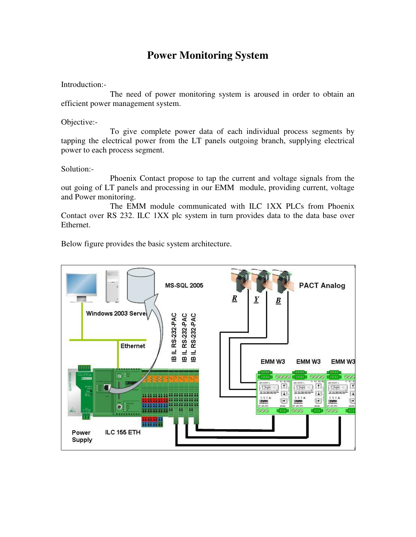# **Power Monitoring System**

Introduction:-

The need of power monitoring system is aroused in order to obtain an efficient power management system.

Objective:-

To give complete power data of each individual process segments by tapping the electrical power from the LT panels outgoing branch, supplying electrical power to each process segment.

Solution:-

Phoenix Contact propose to tap the current and voltage signals from the out going of LT panels and processing in our EMM module, providing current, voltage and Power monitoring.

The EMM module communicated with ILC 1XX PLCs from Phoenix Contact over RS 232. ILC 1XX plc system in turn provides data to the data base over Ethernet.

Below figure provides the basic system architecture.

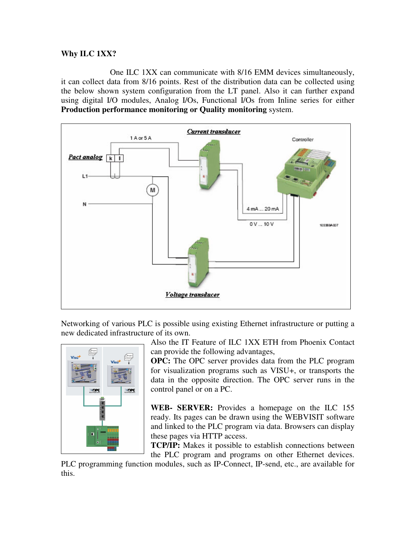### **Why ILC 1XX?**

One ILC 1XX can communicate with 8/16 EMM devices simultaneously, it can collect data from 8/16 points. Rest of the distribution data can be collected using the below shown system configuration from the LT panel. Also it can further expand using digital I/O modules, Analog I/Os, Functional I/Os from Inline series for either **Production performance monitoring or Quality monitoring** system.



Networking of various PLC is possible using existing Ethernet infrastructure or putting a new dedicated infrastructure of its own.



Also the IT Feature of ILC 1XX ETH from Phoenix Contact can provide the following advantages,

**OPC:** The OPC server provides data from the PLC program for visualization programs such as VISU+, or transports the data in the opposite direction. The OPC server runs in the control panel or on a PC.

**WEB- SERVER:** Provides a homepage on the ILC 155 ready. Its pages can be drawn using the WEBVISIT software and linked to the PLC program via data. Browsers can display these pages via HTTP access.

**TCP/IP:** Makes it possible to establish connections between the PLC program and programs on other Ethernet devices.

PLC programming function modules, such as IP-Connect, IP-send, etc., are available for this.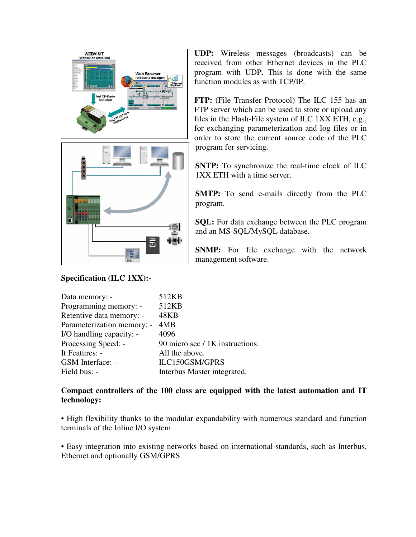

# **Specification (ILC 1XX):-**

**UDP:** Wireless messages (broadcasts) can be received from other Ethernet devices in the PLC program with UDP. This is done with the same function modules as with TCP/IP.

**FTP:** (File Transfer Protocol) The ILC 155 has an FTP server which can be used to store or upload any files in the Flash-File system of ILC 1XX ETH, e.g., for exchanging parameterization and log files or in order to store the current source code of the PLC program for servicing.

**SNTP:** To synchronize the real-time clock of ILC 1XX ETH with a time server.

**SMTP:** To send e-mails directly from the PLC program.

**SQL:** For data exchange between the PLC program and an MS-SQL/MySQL database.

**SNMP:** For file exchange with the network management software.

| Data memory: -             | 512KB                           |
|----------------------------|---------------------------------|
| Programming memory: -      | 512KB                           |
| Retentive data memory: -   | <b>48KB</b>                     |
| Parameterization memory: - | 4MB                             |
| I/O handling capacity: -   | 4096                            |
| Processing Speed: -        | 90 micro sec / 1K instructions. |
| It Features: -             | All the above.                  |
| GSM Interface: -           | ILC150GSM/GPRS                  |
| Field bus: -               | Interbus Master integrated.     |

# **Compact controllers of the 100 class are equipped with the latest automation and IT technology:**

• High flexibility thanks to the modular expandability with numerous standard and function terminals of the Inline I/O system

• Easy integration into existing networks based on international standards, such as Interbus, Ethernet and optionally GSM/GPRS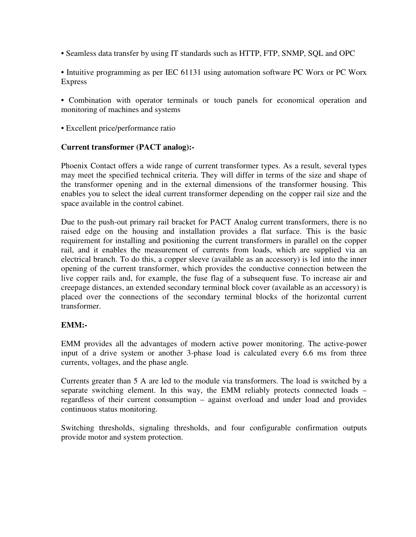• Seamless data transfer by using IT standards such as HTTP, FTP, SNMP, SQL and OPC

• Intuitive programming as per IEC 61131 using automation software PC Worx or PC Worx Express

• Combination with operator terminals or touch panels for economical operation and monitoring of machines and systems

• Excellent price/performance ratio

## **Current transformer (PACT analog):-**

Phoenix Contact offers a wide range of current transformer types. As a result, several types may meet the specified technical criteria. They will differ in terms of the size and shape of the transformer opening and in the external dimensions of the transformer housing. This enables you to select the ideal current transformer depending on the copper rail size and the space available in the control cabinet.

Due to the push-out primary rail bracket for PACT Analog current transformers, there is no raised edge on the housing and installation provides a flat surface. This is the basic requirement for installing and positioning the current transformers in parallel on the copper rail, and it enables the measurement of currents from loads, which are supplied via an electrical branch. To do this, a copper sleeve (available as an accessory) is led into the inner opening of the current transformer, which provides the conductive connection between the live copper rails and, for example, the fuse flag of a subsequent fuse. To increase air and creepage distances, an extended secondary terminal block cover (available as an accessory) is placed over the connections of the secondary terminal blocks of the horizontal current transformer.

#### **EMM:-**

EMM provides all the advantages of modern active power monitoring. The active-power input of a drive system or another 3-phase load is calculated every 6.6 ms from three currents, voltages, and the phase angle.

Currents greater than 5 A are led to the module via transformers. The load is switched by a separate switching element. In this way, the EMM reliably protects connected loads – regardless of their current consumption – against overload and under load and provides continuous status monitoring.

Switching thresholds, signaling thresholds, and four configurable confirmation outputs provide motor and system protection.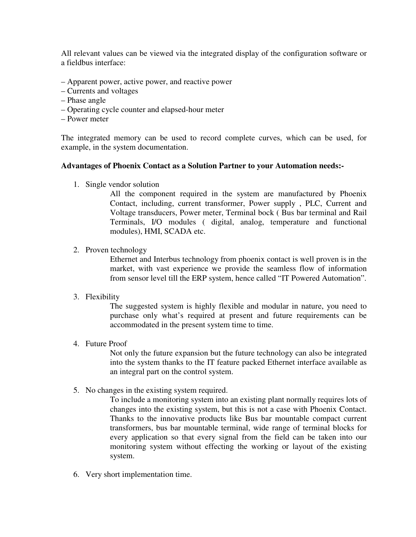All relevant values can be viewed via the integrated display of the configuration software or a fieldbus interface:

- Apparent power, active power, and reactive power
- Currents and voltages
- Phase angle
- Operating cycle counter and elapsed-hour meter
- Power meter

The integrated memory can be used to record complete curves, which can be used, for example, in the system documentation.

#### **Advantages of Phoenix Contact as a Solution Partner to your Automation needs:-**

1. Single vendor solution

All the component required in the system are manufactured by Phoenix Contact, including, current transformer, Power supply , PLC, Current and Voltage transducers, Power meter, Terminal bock ( Bus bar terminal and Rail Terminals, I/O modules ( digital, analog, temperature and functional modules), HMI, SCADA etc.

2. Proven technology

Ethernet and Interbus technology from phoenix contact is well proven is in the market, with vast experience we provide the seamless flow of information from sensor level till the ERP system, hence called "IT Powered Automation".

3. Flexibility

The suggested system is highly flexible and modular in nature, you need to purchase only what's required at present and future requirements can be accommodated in the present system time to time.

4. Future Proof

Not only the future expansion but the future technology can also be integrated into the system thanks to the IT feature packed Ethernet interface available as an integral part on the control system.

5. No changes in the existing system required.

To include a monitoring system into an existing plant normally requires lots of changes into the existing system, but this is not a case with Phoenix Contact. Thanks to the innovative products like Bus bar mountable compact current transformers, bus bar mountable terminal, wide range of terminal blocks for every application so that every signal from the field can be taken into our monitoring system without effecting the working or layout of the existing system.

6. Very short implementation time.